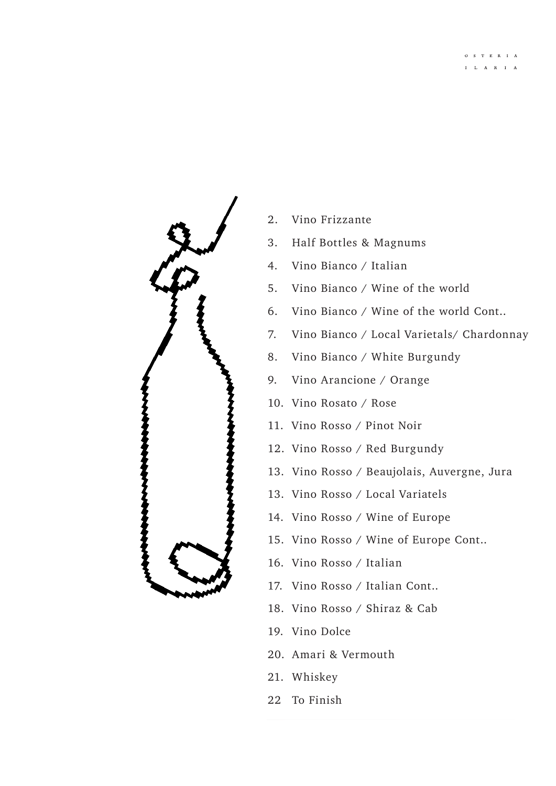

- 2. Vino Frizzante
- 3. Half Bottles & Magnums
- 4. Vino Bianco / Italian
- 5. Vino Bianco / Wine of the world
- 6. Vino Bianco / Wine of the world Cont..
- 7. Vino Bianco / Local Varietals/ Chardonnay
- 8. Vino Bianco / White Burgundy
- 9. Vino Arancione / Orange
- 10. Vino Rosato / Rose
- 11. Vino Rosso / Pinot Noir
- 12. Vino Rosso / Red Burgundy
- 13. Vino Rosso / Beaujolais, Auvergne, Jura
- 13. Vino Rosso / Local Variatels
- 14. Vino Rosso / Wine of Europe
- 15. Vino Rosso / Wine of Europe Cont..
- 16. Vino Rosso / Italian
- 17. Vino Rosso / Italian Cont..
- 18. Vino Rosso / Shiraz & Cab
- 19. Vino Dolce
- 20. Amari & Vermouth
- 21. Whiskey
- 22 To Finish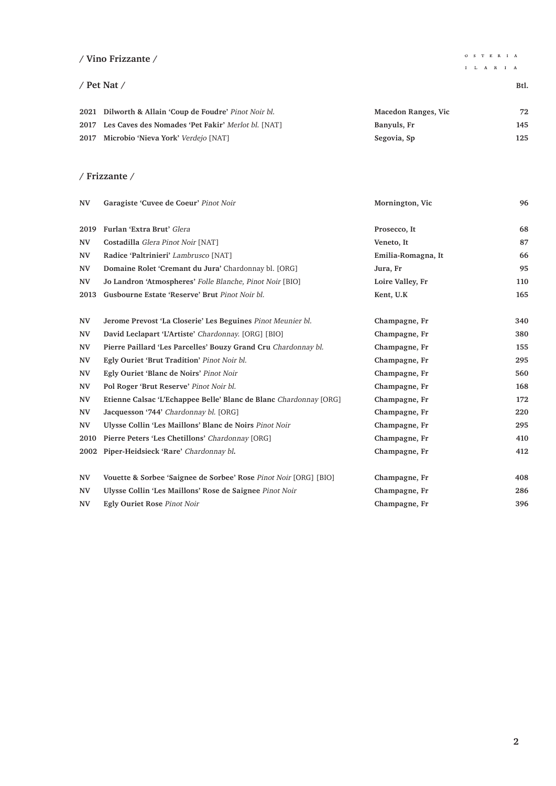### **/ Vino Frizzante /**

#### / Pet Nat / Btl.

 $\begin{array}{cccccc} \text{O} & \text{S} & \text{T} & \text{E} & \text{R} & \text{I} & \text{A} \end{array}$ 

| 2021 Dilworth & Allain 'Coup de Foudre' Pinot Noir bl.  | Macedon Ranges, Vic | 72  |
|---------------------------------------------------------|---------------------|-----|
| 2017 Les Caves des Nomades 'Pet Fakir' Merlot bl. [NAT] | Banyuls, Fr         | 145 |
| 2017 Microbio 'Nieva York' Verdejo [NAT]                | Segovia, Sp         | 125 |

#### **/ Frizzante /**

| <b>NV</b>              | Garagiste 'Cuvee de Coeur' Pinot Noir                             | Mornington, Vic    | 96  |
|------------------------|-------------------------------------------------------------------|--------------------|-----|
| 2019                   | Furlan 'Extra Brut' Glera                                         | Prosecco, It       | 68  |
| <b>NV</b>              | Costadilla Glera Pinot Noir [NAT]                                 | Veneto, It         | 87  |
| <b>NV</b>              | Radice 'Paltrinieri' Lambrusco [NAT]                              | Emilia-Romagna, It | 66  |
| <b>NV</b>              | Domaine Rolet 'Cremant du Jura' Chardonnay bl. [ORG]              | Jura, Fr           | 95  |
| <b>NV</b>              | Jo Landron 'Atmospheres' Folle Blanche, Pinot Noir [BIO]          | Loire Valley, Fr   | 110 |
| 2013                   | Gusbourne Estate 'Reserve' Brut Pinot Noir bl.                    | Kent, U.K          | 165 |
| $\mathbf{N}\mathbf{V}$ | Jerome Prevost 'La Closerie' Les Beguines Pinot Meunier bl.       | Champagne, Fr      | 340 |
| <b>NV</b>              | David Leclapart 'L'Artiste' Chardonnay, [ORG] [BIO]               | Champagne, Fr      | 380 |
| <b>NV</b>              | Pierre Paillard 'Les Parcelles' Bouzy Grand Cru Chardonnay bl.    | Champagne, Fr      | 155 |
| <b>NV</b>              | Egly Ouriet 'Brut Tradition' Pinot Noir bl.                       | Champagne, Fr      | 295 |
| <b>NV</b>              | Egly Ouriet 'Blanc de Noirs' Pinot Noir                           | Champagne, Fr      | 560 |
| <b>NV</b>              | Pol Roger 'Brut Reserve' Pinot Noir bl.                           | Champagne, Fr      | 168 |
| <b>NV</b>              | Etienne Calsac 'L'Echappee Belle' Blanc de Blanc Chardonnay [ORG] | Champagne, Fr      | 172 |
| <b>NV</b>              | Jacquesson '744' Chardonnay bl. [ORG]                             | Champagne, Fr      | 220 |
| <b>NV</b>              | Ulysse Collin 'Les Maillons' Blanc de Noirs Pinot Noir            | Champagne, Fr      | 295 |
| 2010                   | Pierre Peters 'Les Chetillons' Chardonnay [ORG]                   | Champagne, Fr      | 410 |
| 2002                   | Piper-Heidsieck 'Rare' Chardonnay bl.                             | Champagne, Fr      | 412 |
| <b>NV</b>              | Vouette & Sorbee 'Saignee de Sorbee' Rose Pinot Noir [ORG] [BIO]  | Champagne, Fr      | 408 |
| <b>NV</b>              | Ulysse Collin 'Les Maillons' Rose de Saignee Pinot Noir           | Champagne, Fr      | 286 |
| <b>NV</b>              | <b>Egly Ouriet Rose Pinot Noir</b>                                | Champagne, Fr      | 396 |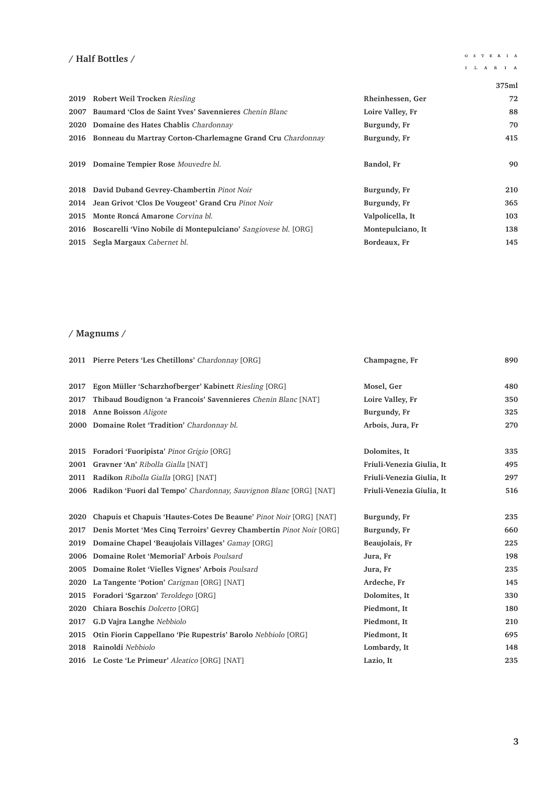## **/ Half Bottles /**

 $\begin{array}{ccccccccc}\bullet\;&\; s &\; \tau &\; \text{E} &\;\text{R} &\; \text{I} &\; \text{A}\end{array}$ 

# $\begin{array}{ccccccccc}\n\textbf{I} & \textbf{L} & \textbf{A} & \textbf{R} & \textbf{I} & \textbf{A}\n\end{array}$

|      |                                                                     |                   | 375ml |
|------|---------------------------------------------------------------------|-------------------|-------|
|      | 2019 Robert Weil Trocken Riesling                                   | Rheinhessen, Ger  | 72    |
|      | 2007 Baumard 'Clos de Saint Yves' Savennieres Chenin Blanc          | Loire Valley, Fr  | 88    |
|      | 2020 Domaine des Hates Chablis Chardonnay                           | Burgundy, Fr      | 70    |
|      | 2016 Bonneau du Martray Corton-Charlemagne Grand Cru Chardonnay     | Burgundy, Fr      | 415   |
| 2019 | Domaine Tempier Rose Mouvedre bl.                                   | Bandol, Fr        | 90    |
|      | 2018 David Duband Gevrey-Chambertin Pinot Noir                      | Burgundy, Fr      | 210   |
| 2014 | Jean Grivot 'Clos De Vougeot' Grand Cru Pinot Noir                  | Burgundy, Fr      | 365   |
| 2015 | Monte Roncá Amarone Corvina bl.                                     | Valpolicella, It  | 103   |
|      | 2016 Boscarelli 'Vino Nobile di Montepulciano' Sangiovese bl. [ORG] | Montepulciano, It | 138   |
|      | 2015 Segla Margaux Cabernet bl.                                     | Bordeaux, Fr      | 145   |

## **/ Magnums /**

|      | <b>2011</b> Pierre Peters 'Les Chetillons' Chardonnay [ORG]               | Champagne, Fr             | 890 |
|------|---------------------------------------------------------------------------|---------------------------|-----|
| 2017 | Egon Müller 'Scharzhofberger' Kabinett Riesling [ORG]                     | Mosel, Ger                | 480 |
| 2017 | Thibaud Boudignon 'a Francois' Savennieres Chenin Blanc [NAT]             | Loire Valley, Fr          | 350 |
| 2018 | Anne Boisson Aligote                                                      | Burgundy, Fr              | 325 |
|      | 2000 Domaine Rolet 'Tradition' Chardonnay bl.                             | Arbois, Jura, Fr          | 270 |
| 2015 | Foradori 'Fuoripista' Pinot Grigio [ORG]                                  | Dolomites, It             | 335 |
| 2001 | Gravner 'An' Ribolla Gialla [NAT]                                         | Friuli-Venezia Giulia, It | 495 |
| 2011 | Radikon Ribolla Gialla [ORG] [NAT]                                        | Friuli-Venezia Giulia, It | 297 |
|      | 2006 Radikon 'Fuori dal Tempo' Chardonnay, Sauvignon Blanc [ORG] [NAT]    | Friuli-Venezia Giulia, It | 516 |
|      |                                                                           |                           |     |
| 2020 | <b>Chapuis et Chapuis 'Hautes-Cotes De Beaune' Pinot Noir [ORG] [NAT]</b> | Burgundy, Fr              | 235 |
| 2017 | Denis Mortet 'Mes Cinq Terroirs' Gevrey Chambertin Pinot Noir [ORG]       | Burgundy, Fr              | 660 |
| 2019 | Domaine Chapel 'Beaujolais Villages' Gamay [ORG]                          | Beaujolais, Fr            | 225 |
|      | 2006 Domaine Rolet 'Memorial' Arbois Poulsard                             | Jura, Fr                  | 198 |
| 2005 | Domaine Rolet 'Vielles Vignes' Arbois Poulsard                            | Jura, Fr                  | 235 |
| 2020 | La Tangente 'Potion' Carignan [ORG] [NAT]                                 | Ardeche, Fr               | 145 |
| 2015 | Foradori 'Sgarzon' Teroldego [ORG]                                        | Dolomites, It             | 330 |
| 2020 | Chiara Boschis Dolcetto [ORG]                                             | Piedmont, It              | 180 |
| 2017 | G.D Vajra Langhe Nebbiolo                                                 | Piedmont, It              | 210 |
| 2015 | Otin Fiorin Cappellano 'Pie Rupestris' Barolo Nebbiolo [ORG]              | Piedmont, It              | 695 |
| 2018 | Rainoldi Nebbiolo                                                         | Lombardy, It              | 148 |
|      | 2016 Le Coste 'Le Primeur' Aleatico [ORG] [NAT]                           | Lazio, It                 | 235 |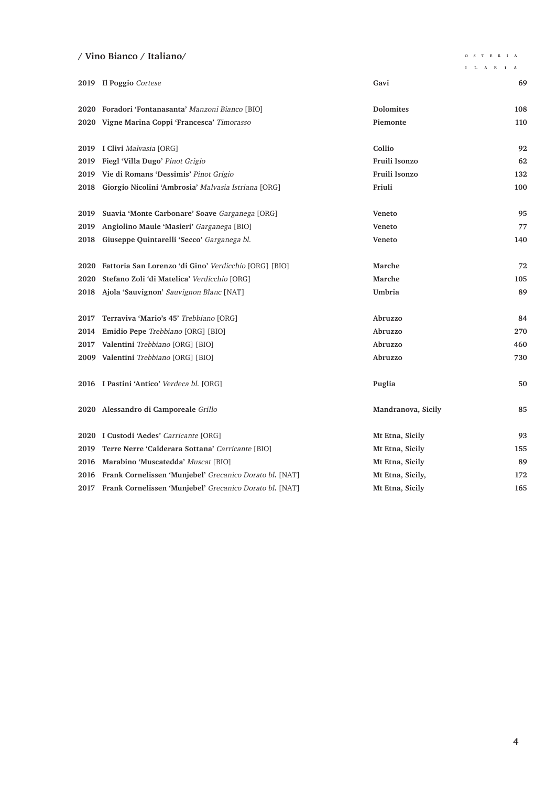### **/ Vino Bianco / Italiano/**

 $\begin{array}{ccccccccc}\bullet\;&\; S & T & E & R & I & A\end{array}$ 

|      |                                                            |                    | I L A R I A |
|------|------------------------------------------------------------|--------------------|-------------|
|      | 2019 Il Poggio Cortese                                     | Gavi               | 69          |
|      | 2020 Foradori 'Fontanasanta' Manzoni Bianco [BIO]          | <b>Dolomites</b>   | 108         |
|      | 2020 Vigne Marina Coppi 'Francesca' Timorasso              | Piemonte           | 110         |
|      | 2019 I Clivi Malvasia [ORG]                                | Collio             | 92          |
| 2019 | Fiegl 'Villa Dugo' Pinot Grigio                            | Fruili Isonzo      | 62          |
| 2019 | Vie di Romans 'Dessimis' Pinot Grigio                      | Fruili Isonzo      | 132         |
| 2018 | Giorgio Nicolini 'Ambrosia' Malvasia Istriana [ORG]        | Friuli             | 100         |
| 2019 | Suavia 'Monte Carbonare' Soave Garganega [ORG]             | <b>Veneto</b>      | 95          |
| 2019 | Angiolino Maule 'Masieri' Garganega [BIO]                  | Veneto             | 77          |
| 2018 | Giuseppe Quintarelli 'Secco' Garganega bl.                 | <b>Veneto</b>      | 140         |
|      | 2020 Fattoria San Lorenzo 'di Gino' Verdicchio [ORG] [BIO] | Marche             | 72          |
| 2020 | Stefano Zoli 'di Matelica' Verdicchio [ORG]                | Marche             | 105         |
|      | 2018 Ajola 'Sauvignon' Sauvignon Blanc [NAT]               | Umbria             | 89          |
| 2017 | Terraviva 'Mario's 45' Trebbiano [ORG]                     | Abruzzo            | 84          |
| 2014 | Emidio Pepe Trebbiano [ORG] [BIO]                          | Abruzzo            | 270         |
| 2017 | Valentini Trebbiano [ORG] [BIO]                            | Abruzzo            | 460         |
|      | 2009 Valentini Trebbiano [ORG] [BIO]                       | Abruzzo            | 730         |
|      | 2016 I Pastini 'Antico' Verdeca bl. [ORG]                  | Puglia             | 50          |
|      | 2020 Alessandro di Camporeale Grillo                       | Mandranova, Sicily | 85          |
|      | 2020 I Custodi 'Aedes' Carricante [ORG]                    | Mt Etna, Sicily    | 93          |
| 2019 | Terre Nerre 'Calderara Sottana' Carricante [BIO]           | Mt Etna, Sicily    | 155         |
| 2016 | Marabino 'Muscatedda' Muscat [BIO]                         | Mt Etna, Sicily    | 89          |
| 2016 | Frank Cornelissen 'Munjebel' Grecanico Dorato bl. [NAT]    | Mt Etna, Sicily,   | 172         |
| 2017 | Frank Cornelissen 'Munjebel' Grecanico Dorato bl. [NAT]    | Mt Etna, Sicily    | 165         |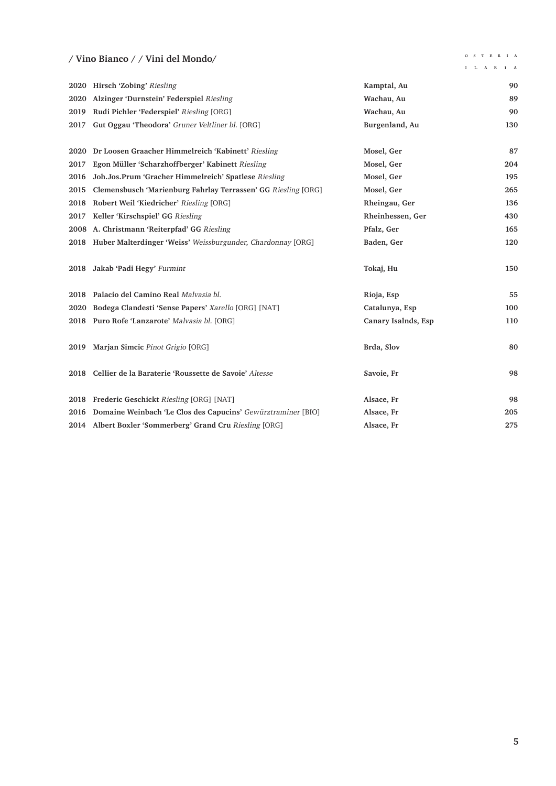## **/ Vino Bianco / / Vini del Mondo/**

 $\begin{array}{ccccccccc}\n\text{O} & \text{S} & \text{T} & \text{E} & \text{R} & \text{I} & \text{A}\n\end{array}$ 

|      | $\prime$ villo bianco $\prime$ $\prime$ villi del mondo          |                  | I L A R I A |
|------|------------------------------------------------------------------|------------------|-------------|
|      | 2020 Hirsch 'Zobing' Riesling                                    | Kamptal, Au      | 90          |
|      | 2020 Alzinger 'Durnstein' Federspiel Riesling                    | Wachau, Au       | 89          |
| 2019 | Rudi Pichler 'Federspiel' Riesling [ORG]                         | Wachau, Au       | 90          |
| 2017 | Gut Oggau 'Theodora' Gruner Veltliner bl. [ORG]                  | Burgenland, Au   | 130         |
|      | 2020 Dr Loosen Graacher Himmelreich 'Kabinett' Riesling          | Mosel, Ger       | 87          |
| 2017 | Egon Müller 'Scharzhoffberger' Kabinett Riesling                 | Mosel, Ger       | 204         |
| 2016 | Joh.Jos.Prum 'Gracher Himmelreich' Spatlese Riesling             | Mosel, Ger       | 195         |
| 2015 | Clemensbusch 'Marienburg Fahrlay Terrassen' GG Riesling [ORG]    | Mosel, Ger       | 265         |
| 2018 | Robert Weil 'Kiedricher' Riesling [ORG]                          | Rheingau, Ger    | 136         |
| 2017 | Keller 'Kirschspiel' GG Riesling                                 | Rheinhessen, Ger | 430         |
|      | 2008 A. Christmann 'Reiterpfad' GG Riesling                      | Pfalz, Ger       | 165         |
|      | 2018 Huber Malterdinger 'Weiss' Weissburgunder, Chardonnay [ORG] | Baden, Ger       | 120         |
|      | 2018 Jakab 'Padi Hegy' Furmint                                   | Tokaj, Hu        | 150         |

|      | 2018 Jakab 'Padi Hegy' Furmint                                                                 | Tokaj, Hu                | 150      |
|------|------------------------------------------------------------------------------------------------|--------------------------|----------|
|      | 2018 Palacio del Camino Real Malvasia bl.                                                      | Rioja, Esp               | 55       |
|      | 2020 Bodega Clandesti 'Sense Papers' Xarello [ORG] [NAT]                                       | Catalunya, Esp           | 100      |
|      | 2018 Puro Rofe 'Lanzarote' Malvasia bl. [ORG]                                                  | Canary Isalnds, Esp      | 110      |
| 2019 | Marjan Simcic Pinot Grigio [ORG]<br>2018 Cellier de la Baraterie 'Roussette de Savoie' Altesse | Brda, Slov<br>Savoie, Fr | 80<br>98 |
|      | 2018 Frederic Geschickt Riesling [ORG] [NAT]                                                   | Alsace, Fr               | 98       |
| 2016 | Domaine Weinbach 'Le Clos des Capucins' Gewürztraminer [BIO]                                   | Alsace, Fr               | 205      |
|      | 2014 Albert Boxler 'Sommerberg' Grand Cru Riesling [ORG]                                       | Alsace, Fr               | 275      |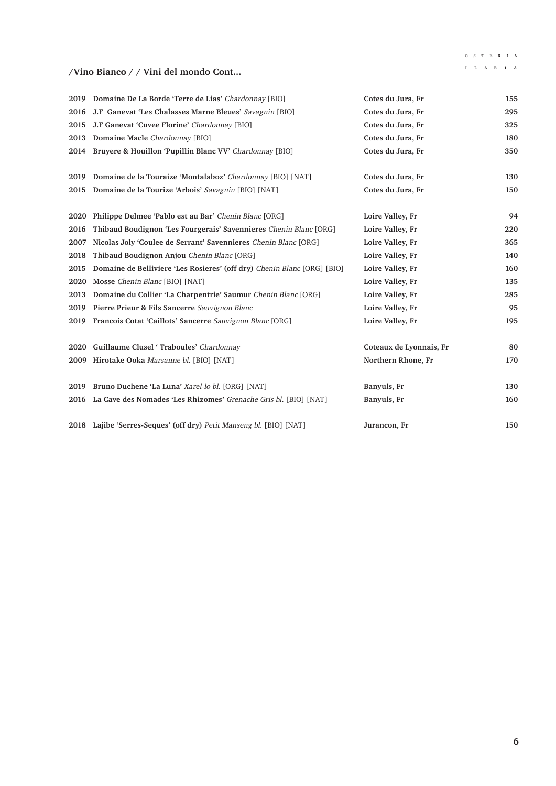## $\begin{array}{ccccccccc}\bullet\;&\; S & T & E & R & I & A\end{array}$

## $\mathbf{I} = \mathbf{L} - \mathbf{A} - \mathbf{R} - \mathbf{I} - \mathbf{A}$

### **/Vino Bianco / / Vini del mondo Cont...**

|      | 2019 Domaine De La Borde 'Terre de Lias' Chardonnay [BIO]               | Cotes du Jura, Fr       | 155 |
|------|-------------------------------------------------------------------------|-------------------------|-----|
| 2016 | J.F Ganevat 'Les Chalasses Marne Bleues' Savagnin [BIO]                 | Cotes du Jura, Fr       | 295 |
| 2015 | J.F Ganevat 'Cuvee Florine' Chardonnay [BIO]                            | Cotes du Jura, Fr       | 325 |
| 2013 | Domaine Macle Chardonnay [BIO]                                          | Cotes du Jura, Fr       | 180 |
|      | 2014 Bruyere & Houillon 'Pupillin Blanc VV' Chardonnay [BIO]            | Cotes du Jura, Fr       | 350 |
| 2019 | Domaine de la Touraize 'Montalaboz' Chardonnay [BIO] [NAT]              | Cotes du Jura, Fr       | 130 |
|      | 2015 Domaine de la Tourize 'Arbois' Savagnin [BIO] [NAT]                | Cotes du Jura, Fr       | 150 |
| 2020 | Philippe Delmee 'Pablo est au Bar' Chenin Blanc [ORG]                   | Loire Valley, Fr        | 94  |
| 2016 | Thibaud Boudignon 'Les Fourgerais' Savennieres Chenin Blanc [ORG]       | Loire Valley, Fr        | 220 |
| 2007 | Nicolas Joly 'Coulee de Serrant' Savennieres Chenin Blanc [ORG]         | Loire Valley, Fr        | 365 |
| 2018 | Thibaud Boudignon Anjou Chenin Blanc [ORG]                              | Loire Valley, Fr        | 140 |
| 2015 | Domaine de Belliviere 'Les Rosieres' (off dry) Chenin Blanc [ORG] [BIO] | Loire Valley, Fr        | 160 |
| 2020 | Mosse Chenin Blanc [BIO] [NAT]                                          | Loire Valley, Fr        | 135 |
| 2013 | Domaine du Collier 'La Charpentrie' Saumur Chenin Blanc [ORG]           | Loire Valley, Fr        | 285 |
| 2019 | Pierre Prieur & Fils Sancerre Sauvignon Blanc                           | Loire Valley, Fr        | 95  |
|      | 2019 Francois Cotat 'Caillots' Sancerre Sauvignon Blanc [ORG]           | Loire Valley, Fr        | 195 |
|      | 2020 Guillaume Clusel 'Traboules' Chardonnay                            | Coteaux de Lyonnais, Fr | 80  |
|      | 2009 Hirotake Ooka Marsanne bl. [BIO] [NAT]                             | Northern Rhone, Fr      | 170 |
| 2019 | Bruno Duchene 'La Luna' Xarel-lo bl. [ORG] [NAT]                        | Banyuls, Fr             | 130 |
|      | 2016 La Cave des Nomades 'Les Rhizomes' Grenache Gris bl. [BIO] [NAT]   | Banyuls, Fr             | 160 |
|      | 2018 Lajibe 'Serres-Seques' (off dry) Petit Manseng bl. [BIO] [NAT]     | Jurancon, Fr            | 150 |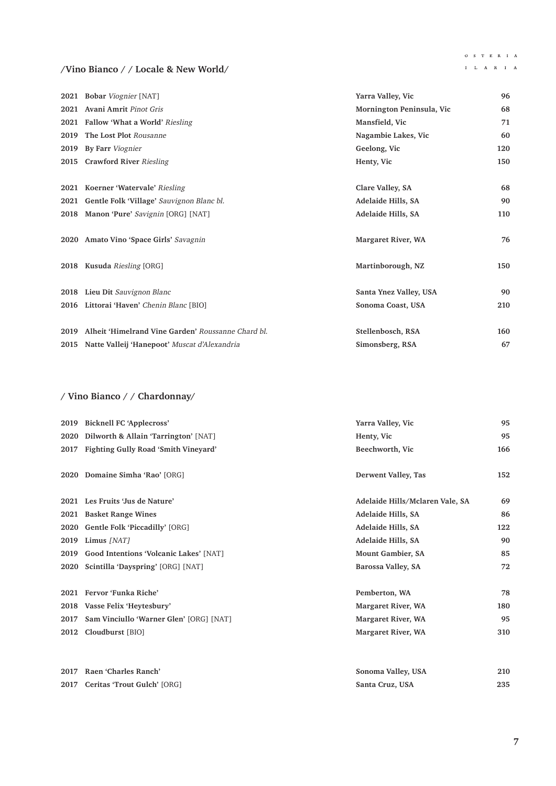#### $\begin{array}{ccccccccc}\n\text{O} & \text{S} & \text{T} & \text{E} & \text{R} & \text{I} & \text{A}\n\end{array}$  $\mathbf{I} = \mathbf{L} - \mathbf{A} - \mathbf{R} - \mathbf{I} - \mathbf{A}$

### **/Vino Bianco / / Locale & New World/**

|      | 2021 Bobar Viognier [NAT]                          | Yarra Valley, Vic         | 96  |
|------|----------------------------------------------------|---------------------------|-----|
|      | 2021 Avani Amrit Pinot Gris                        | Mornington Peninsula, Vic | 68  |
|      | 2021 Fallow 'What a World' Riesling                | Mansfield, Vic            | 71  |
| 2019 | The Lost Plot Rousanne                             | Nagambie Lakes, Vic       | 60  |
| 2019 | By Farr Viognier                                   | Geelong, Vic              | 120 |
| 2015 | <b>Crawford River Riesling</b>                     | Henty, Vic                | 150 |
|      |                                                    |                           |     |
|      | 2021 Koerner 'Watervale' Riesling                  | Clare Valley, SA          | 68  |
| 2021 | Gentle Folk 'Village' Sauvignon Blanc bl.          | Adelaide Hills, SA        | 90  |
|      | 2018 Manon 'Pure' Savignin [ORG] [NAT]             | Adelaide Hills, SA        | 110 |
|      | 2020 Amato Vino 'Space Girls' Savagnin             | Margaret River, WA        | 76  |
|      | 2018 Kusuda Riesling [ORG]                         | Martinborough, NZ         | 150 |
|      | 2018 Lieu Dit Sauvignon Blanc                      | Santa Ynez Valley, USA    | 90  |
|      | 2016 Littorai 'Haven' Chenin Blanc [BIO]           | Sonoma Coast, USA         | 210 |
| 2019 | Alheit 'Himelrand Vine Garden' Roussanne Chard bl. | Stellenbosch, RSA         | 160 |
|      |                                                    |                           |     |
|      | 2015 Natte Valleij 'Hanepoot' Muscat d'Alexandria  | Simonsberg, RSA           | 67  |

# **/ Vino Bianco / / Chardonnay/**

| 2019 | <b>Bicknell FC 'Applecross'</b>             | Yarra Valley, Vic               | 95  |
|------|---------------------------------------------|---------------------------------|-----|
| 2020 | Dilworth & Allain 'Tarrington' [NAT]        | Henty, Vic                      | 95  |
| 2017 | <b>Fighting Gully Road 'Smith Vineyard'</b> | Beechworth, Vic                 | 166 |
|      | 2020 Domaine Simha 'Rao' [ORG]              | Derwent Valley, Tas             | 152 |
| 2021 | Les Fruits 'Jus de Nature'                  | Adelaide Hills/Mclaren Vale, SA | 69  |
| 2021 | <b>Basket Range Wines</b>                   | Adelaide Hills, SA              | 86  |
| 2020 | Gentle Folk 'Piccadilly' [ORG]              | Adelaide Hills, SA              | 122 |
| 2019 | Limus [NAT]                                 | Adelaide Hills, SA              | 90  |
| 2019 | Good Intentions 'Volcanic Lakes' [NAT]      | <b>Mount Gambier, SA</b>        | 85  |
| 2020 | Scintilla 'Dayspring' [ORG] [NAT]           | Barossa Valley, SA              | 72  |
| 2021 | Fervor 'Funka Riche'                        | Pemberton, WA                   | 78  |
| 2018 | Vasse Felix 'Heytesbury'                    | Margaret River, WA              | 180 |
| 2017 | Sam Vinciullo 'Warner Glen' [ORG] [NAT]     | <b>Margaret River, WA</b>       | 95  |
| 2012 | Cloudburst [BIO]                            | <b>Margaret River, WA</b>       | 310 |
| 2017 | Raen 'Charles Ranch'                        | Sonoma Valley, USA              | 210 |
| 2017 | Ceritas 'Trout Gulch' [ORG]                 | Santa Cruz, USA                 | 235 |
|      |                                             |                                 |     |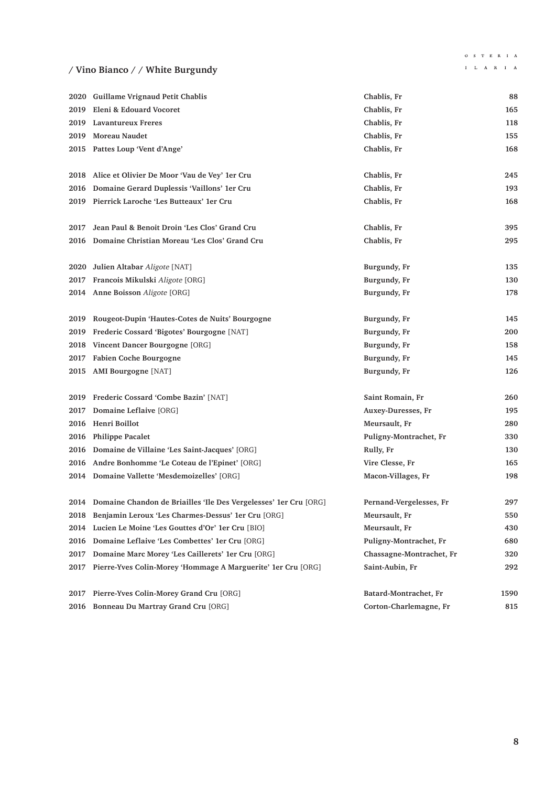# **/ Vino Bianco / / White Burgundy**

# $\begin{array}{ccccccccc}\bullet\;&\; S & T & E & R & I & A\end{array}$

|      | 2020 Guillame Vrignaud Petit Chablis                                  | Chablis, Fr              | 88   |
|------|-----------------------------------------------------------------------|--------------------------|------|
| 2019 | Eleni & Edouard Vocoret                                               | Chablis, Fr              | 165  |
|      | 2019 Lavantureux Freres                                               | Chablis, Fr              | 118  |
|      | 2019 Moreau Naudet                                                    | Chablis, Fr              | 155  |
|      | 2015 Pattes Loup 'Vent d'Ange'                                        | Chablis, Fr              | 168  |
|      |                                                                       |                          |      |
|      | 2018 Alice et Olivier De Moor 'Vau de Vey' 1er Cru                    | Chablis, Fr              | 245  |
| 2016 | Domaine Gerard Duplessis 'Vaillons' 1er Cru                           | Chablis, Fr              | 193  |
|      | 2019 Pierrick Laroche 'Les Butteaux' 1er Cru                          | Chablis, Fr              | 168  |
|      |                                                                       |                          |      |
| 2017 | Jean Paul & Benoit Droin 'Les Clos' Grand Cru                         | Chablis, Fr              | 395  |
|      | 2016 Domaine Christian Moreau 'Les Clos' Grand Cru                    | Chablis, Fr              | 295  |
|      |                                                                       |                          |      |
|      | 2020 Julien Altabar Aligote [NAT]                                     | Burgundy, Fr             | 135  |
|      | 2017 Francois Mikulski Aligote [ORG]                                  | Burgundy, Fr             | 130  |
|      | 2014 Anne Boisson Aligote [ORG]                                       | Burgundy, Fr             | 178  |
|      |                                                                       |                          |      |
|      | 2019 Rougeot-Dupin 'Hautes-Cotes de Nuits' Bourgogne                  | Burgundy, Fr             | 145  |
| 2019 | Frederic Cossard 'Bigotes' Bourgogne [NAT]                            | Burgundy, Fr             | 200  |
| 2018 | Vincent Dancer Bourgogne [ORG]                                        | Burgundy, Fr             | 158  |
|      | 2017 Fabien Coche Bourgogne                                           | Burgundy, Fr             | 145  |
|      | 2015 AMI Bourgogne [NAT]                                              | Burgundy, Fr             | 126  |
|      |                                                                       |                          |      |
|      | 2019 Frederic Cossard 'Combe Bazin' [NAT]                             | Saint Romain, Fr         | 260  |
| 2017 | Domaine Leflaive [ORG]                                                | Auxey-Duresses, Fr       | 195  |
| 2016 | Henri Boillot                                                         | Meursault, Fr            | 280  |
|      | 2016 Philippe Pacalet                                                 | Puligny-Montrachet, Fr   | 330  |
| 2016 | Domaine de Villaine 'Les Saint-Jacques' [ORG]                         | Rully, Fr                | 130  |
| 2016 | Andre Bonhomme 'Le Coteau de l'Epinet' [ORG]                          | Vire Clesse, Fr          | 165  |
|      | 2014 Domaine Vallette 'Mesdemoizelles' [ORG]                          | Macon-Villages, Fr       | 198  |
|      |                                                                       |                          |      |
|      | 2014 Domaine Chandon de Briailles 'Ile Des Vergelesses' 1er Cru [ORG] | Pernand-Vergelesses, Fr  | 297  |
|      | 2018 Benjamin Leroux 'Les Charmes-Dessus' 1er Cru [ORG]               | Meursault, Fr            | 550  |
| 2014 | Lucien Le Moine 'Les Gouttes d'Or' 1er Cru [BIO]                      | Meursault, Fr            | 430  |
| 2016 | Domaine Leflaive 'Les Combettes' 1er Cru [ORG]                        | Puligny-Montrachet, Fr   | 680  |
| 2017 | Domaine Marc Morey 'Les Caillerets' 1er Cru [ORG]                     | Chassagne-Montrachet, Fr | 320  |
| 2017 | Pierre-Yves Colin-Morey 'Hommage A Marguerite' 1er Cru [ORG]          | Saint-Aubin, Fr          | 292  |
|      |                                                                       |                          |      |
| 2017 | Pierre-Yves Colin-Morey Grand Cru [ORG]                               | Batard-Montrachet, Fr    | 1590 |
| 2016 | Bonneau Du Martray Grand Cru [ORG]                                    | Corton-Charlemagne, Fr   | 815  |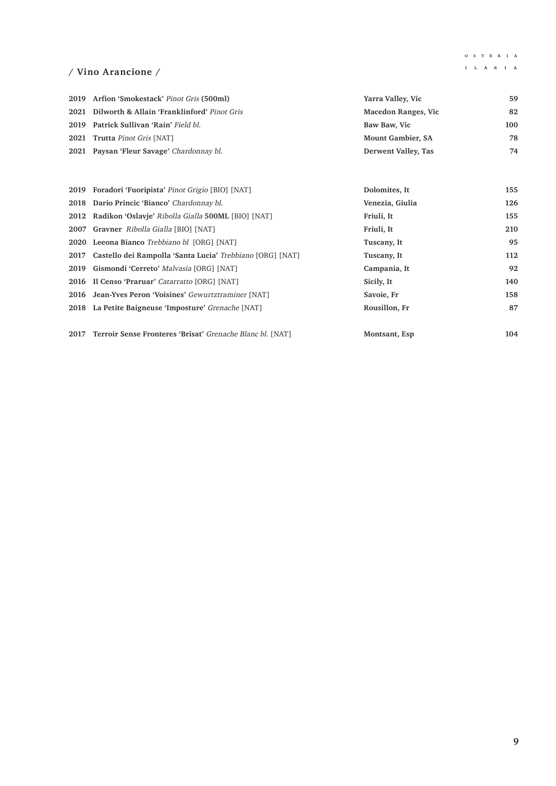#### $\begin{array}{ccccccccc}\n\text{O} & \text{S} & \text{T} & \text{E} & \text{R} & \text{I} & \text{A}\n\end{array}$  $\mathbf{I} = \mathbf{L} - \mathbf{A} - \mathbf{R} - \mathbf{I} - \mathbf{A}$

### **/ Vino Arancione /**

| 2019 Arfion 'Smokestack' Pinot Gris (500ml)      | Yarra Valley, Vic          | 59  |
|--------------------------------------------------|----------------------------|-----|
| 2021 Dilworth & Allain 'Franklinford' Pinot Gris | <b>Macedon Ranges, Vic</b> | 82  |
| 2019 Patrick Sullivan 'Rain' Field bl.           | Baw Baw, Vic               | 100 |
| 2021 Trutta Pinot Gris [NAT]                     | Mount Gambier, SA          | 78  |
| 2021 Paysan 'Fleur Savage' Chardonnay bl.        | Derwent Valley, Tas        | 74  |

|      | 2019 Foradori 'Fuoripista' Pinot Grigio [BIO] [NAT]       | Dolomites, It   | 155 |
|------|-----------------------------------------------------------|-----------------|-----|
|      | 2018 Dario Princic 'Bianco' Chardonnay bl.                | Venezia, Giulia | 126 |
|      | 2012 Radikon 'Oslavie' Ribolla Gialla 500ML [BIO] [NAT]   | Friuli, It      | 155 |
|      | <b>2007 Gravner</b> Ribolla Gialla [BIO] [NAT]            | Friuli, It      | 210 |
|      | <b>2020</b> Leeona Bianco <i>Trebbiano bl</i> [ORG] [NAT] | Tuscany, It     | 95  |
| 2017 | Castello dei Rampolla 'Santa Lucia' Trebbiano [ORG] [NAT] | Tuscany, It     | 112 |
| 2019 | Gismondi 'Cerreto' Malvasia [ORG] [NAT]                   | Campania, It    | 92  |
|      | 2016 Il Censo 'Praruar' Catarratto [ORG] [NAT]            | Sicily, It      | 140 |
|      | 2016 Jean-Yves Peron 'Voisines' Gewurtztraminer [NAT]     | Savoie, Fr      | 158 |
|      | 2018 La Petite Baigneuse 'Imposture' Grenache [NAT]       | Rousillon, Fr   | 87  |
|      |                                                           |                 |     |
| 2017 | Terroir Sense Fronteres 'Brisat' Grenache Blanc bl. [NAT] | Montsant, Esp   | 104 |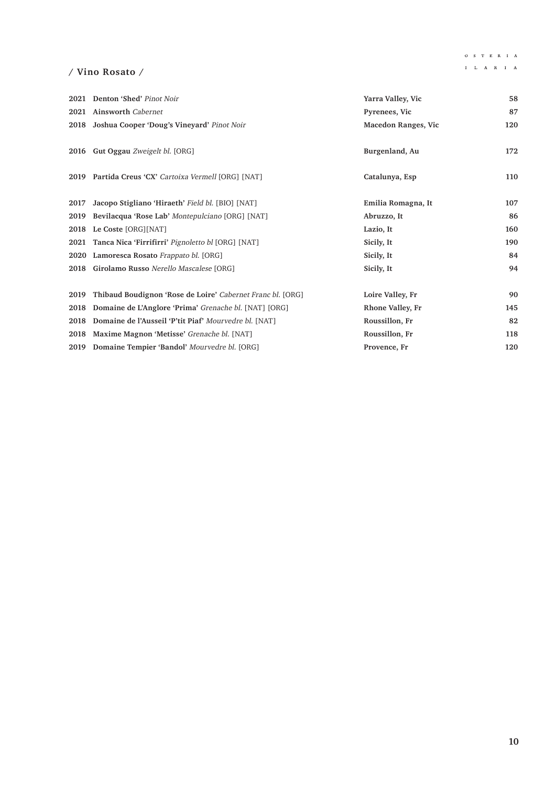# $\begin{array}{ccccccccc}\n\text{O} & \text{S} & \text{T} & \text{E} & \text{R} & \text{I} & \text{A}\n\end{array}$

### **/ Vino Rosato /**

|      | 2021 Denton 'Shed' Pinot Noir                              | Yarra Valley, Vic          | 58  |
|------|------------------------------------------------------------|----------------------------|-----|
| 2021 | <b>Ainsworth Cabernet</b>                                  | Pyrenees, Vic              | 87  |
| 2018 | Joshua Cooper 'Doug's Vineyard' Pinot Noir                 | <b>Macedon Ranges, Vic</b> | 120 |
|      | 2016 Gut Oggau Zweigelt bl. [ORG]                          | Burgenland, Au             | 172 |
|      | 2019 Partida Creus 'CX' Cartoixa Vermell [ORG] [NAT]       | Catalunya, Esp             | 110 |
| 2017 | Jacopo Stigliano 'Hiraeth' Field bl. [BIO] [NAT]           | Emilia Romagna, It         | 107 |
| 2019 | Bevilacqua 'Rose Lab' Montepulciano [ORG] [NAT]            | Abruzzo, It                | 86  |
| 2018 | Le Coste [ORG][NAT]                                        | Lazio, It                  | 160 |
|      | 2021 Tanca Nica 'Firrifirri' Pignoletto bl [ORG] [NAT]     | Sicily, It                 | 190 |
|      | 2020 Lamoresca Rosato Frappato bl. [ORG]                   | Sicily, It                 | 84  |
|      | 2018 Girolamo Russo Nerello Mascalese [ORG]                | Sicily, It                 | 94  |
| 2019 | Thibaud Boudignon 'Rose de Loire' Cabernet Franc bl. [ORG] | Loire Valley, Fr           | 90  |
| 2018 | Domaine de L'Anglore 'Prima' Grenache bl. [NAT] [ORG]      | Rhone Valley, Fr           | 145 |
| 2018 | Domaine de l'Ausseil 'P'tit Piaf' Mourvedre bl. [NAT]      | Roussillon, Fr             | 82  |
| 2018 | Maxime Magnon 'Metisse' Grenache bl. [NAT]                 | Roussillon, Fr             | 118 |
|      | 2019 Domaine Tempier 'Bandol' Mourvedre bl. [ORG]          | Provence, Fr               | 120 |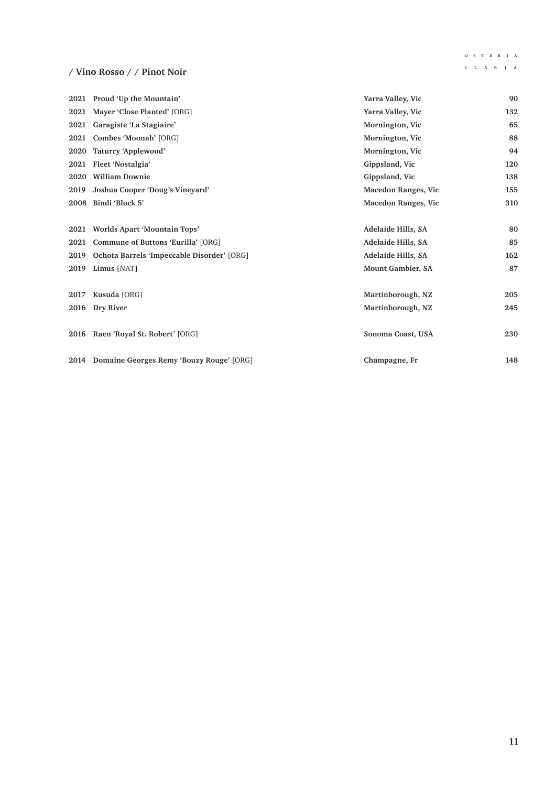#### $\begin{array}{ccccccccc}\n\text{O} & \text{S} & \text{T} & \text{E} & \text{R} & \text{I} & \text{A}\n\end{array}$  $\mathbf{I} = \mathbf{L} - \mathbf{A} - \mathbf{R} - \mathbf{I} - \mathbf{A}$

## **/ Vino Rosso / / Pinot Noir**

|      | 2021 Proud 'Up the Mountain'                  | Yarra Valley, Vic          | 90  |
|------|-----------------------------------------------|----------------------------|-----|
| 2021 | Mayer 'Close Planted' [ORG]                   | Yarra Valley, Vic          | 132 |
|      | 2021 Garagiste 'La Stagiaire'                 | Mornington, Vic            | 65  |
| 2021 | Combes 'Moonah' [ORG]                         | Mornington, Vic            | 88  |
| 2020 | Taturry 'Applewood'                           | Mornington, Vic            | 94  |
|      | 2021 Fleet 'Nostalgia'                        | Gippsland, Vic             | 120 |
| 2020 | <b>William Downie</b>                         | Gippsland, Vic             | 138 |
| 2019 | Joshua Cooper 'Doug's Vineyard'               | <b>Macedon Ranges, Vic</b> | 155 |
|      | 2008 Bindi 'Block 5'                          | <b>Macedon Ranges, Vic</b> | 310 |
|      |                                               |                            |     |
|      | 2021 Worlds Apart 'Mountain Tops'             | Adelaide Hills, SA         | 80  |
|      | 2021 Commune of Buttons 'Eurilla' [ORG]       | Adelaide Hills, SA         | 85  |
| 2019 | Ochota Barrels 'Impeccable Disorder' [ORG]    | Adelaide Hills, SA         | 162 |
|      | 2019 Limus [NAT]                              | Mount Gambier, SA          | 87  |
|      |                                               |                            |     |
| 2017 | Kusuda [ORG]                                  | Martinborough, NZ          | 205 |
| 2016 | Dry River                                     | Martinborough, NZ          | 245 |
|      |                                               |                            |     |
|      | 2016 Raen 'Royal St. Robert' [ORG]            | Sonoma Coast, USA          | 230 |
|      |                                               |                            |     |
|      | 2014 Domaine Georges Remy 'Bouzy Rouge' [ORG] | Champagne, Fr              | 148 |
|      |                                               |                            |     |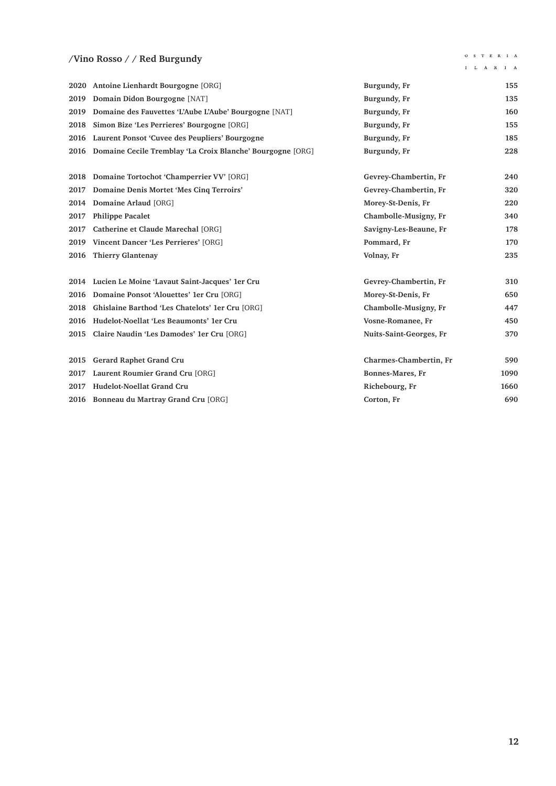### **/Vino Rosso / / Red Burgundy**

 $\begin{array}{ccccccccc}\n\text{O} & \text{S} & \text{T} & \text{E} & \text{R} & \text{I} & \text{A}\n\end{array}$  $\mathbf{I} = \mathbf{L} - \mathbf{A} - \mathbf{R} - \mathbf{I} - \mathbf{A}$ 

|      | 2020 Antoine Lienhardt Bourgogne [ORG]                     | Burgundy, Fr            | 155  |
|------|------------------------------------------------------------|-------------------------|------|
| 2019 | Domain Didon Bourgogne [NAT]                               | Burgundy, Fr            | 135  |
| 2019 | Domaine des Fauvettes 'L'Aube L'Aube' Bourgogne [NAT]      | Burgundy, Fr            | 160  |
| 2018 | Simon Bize 'Les Perrieres' Bourgogne [ORG]                 | Burgundy, Fr            | 155  |
| 2016 | Laurent Ponsot 'Cuvee des Peupliers' Bourgogne             | Burgundy, Fr            | 185  |
| 2016 | Domaine Cecile Tremblay 'La Croix Blanche' Bourgogne [ORG] | Burgundy, Fr            | 228  |
|      |                                                            |                         |      |
| 2018 | Domaine Tortochot 'Champerrier VV' [ORG]                   | Gevrey-Chambertin, Fr   | 240  |
| 2017 | Domaine Denis Mortet 'Mes Cinq Terroirs'                   | Gevrey-Chambertin, Fr   | 320  |
| 2014 | Domaine Arlaud [ORG]                                       | Morey-St-Denis, Fr      | 220  |
| 2017 | <b>Philippe Pacalet</b>                                    | Chambolle-Musigny, Fr   | 340  |
| 2017 | Catherine et Claude Marechal [ORG]                         | Savigny-Les-Beaune, Fr  | 178  |
| 2019 | Vincent Dancer 'Les Perrieres' [ORG]                       | Pommard, Fr             | 170  |
| 2016 | <b>Thierry Glantenay</b>                                   | Volnay, Fr              | 235  |
|      |                                                            |                         |      |
|      | 2014 Lucien Le Moine 'Lavaut Saint-Jacques' 1er Cru        | Gevrey-Chambertin, Fr   | 310  |
| 2016 | Domaine Ponsot 'Alouettes' 1er Cru [ORG]                   | Morey-St-Denis, Fr      | 650  |
| 2018 | Ghislaine Barthod 'Les Chatelots' 1er Cru [ORG]            | Chambolle-Musigny, Fr   | 447  |
| 2016 | Hudelot-Noellat 'Les Beaumonts' 1er Cru                    | Vosne-Romanee, Fr       | 450  |
| 2015 | Claire Naudin 'Les Damodes' 1er Cru [ORG]                  | Nuits-Saint-Georges, Fr | 370  |
|      |                                                            |                         |      |
| 2015 | Gerard Raphet Grand Cru                                    | Charmes-Chambertin, Fr  | 590  |
| 2017 | Laurent Roumier Grand Cru [ORG]                            | Bonnes-Mares, Fr        | 1090 |
| 2017 | Hudelot-Noellat Grand Cru                                  | Richebourg, Fr          | 1660 |
|      | 2016 Bonneau du Martray Grand Cru [ORG]                    | Corton, Fr              | 690  |
|      |                                                            |                         |      |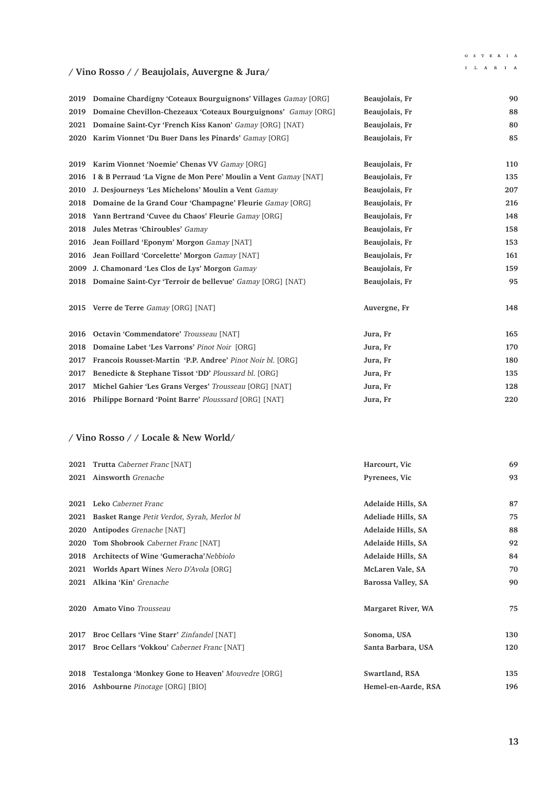#### $\begin{array}{ccccccccc}\n\text{O} & \text{S} & \text{T} & \text{E} & \text{R} & \text{I} & \text{A}\n\end{array}$

#### $\mathbf{I} = \mathbf{L} - \mathbf{A} - \mathbf{R} - \mathbf{I} - \mathbf{A}$

# **/ Vino Rosso / / Beaujolais, Auvergne & Jura/**

|      | 2019 Domaine Chardigny 'Coteaux Bourguignons' Villages Gamay [ORG] | Beaujolais, Fr | 90  |
|------|--------------------------------------------------------------------|----------------|-----|
| 2019 | Domaine Chevillon-Chezeaux 'Coteaux Bourguignons' Gamay [ORG]      | Beaujolais, Fr | 88  |
| 2021 | Domaine Saint-Cyr 'French Kiss Kanon' Gamay [ORG] [NAT}            | Beaujolais, Fr | 80  |
| 2020 | Karim Vionnet 'Du Buer Dans les Pinards' Gamay [ORG]               | Beaujolais, Fr | 85  |
| 2019 | Karim Vionnet 'Noemie' Chenas VV Gamay [ORG]                       | Beaujolais, Fr | 110 |
| 2016 | I & B Perraud 'La Vigne de Mon Pere' Moulin a Vent Gamay [NAT]     | Beaujolais, Fr | 135 |
| 2010 | J. Desjourneys 'Les Michelons' Moulin a Vent Gamay                 | Beaujolais, Fr | 207 |
| 2018 | Domaine de la Grand Cour 'Champagne' Fleurie Gamay [ORG]           | Beaujolais, Fr | 216 |
| 2018 | Yann Bertrand 'Cuvee du Chaos' Fleurie Gamay [ORG]                 | Beaujolais, Fr | 148 |
| 2018 | Jules Metras 'Chiroubles' Gamay                                    | Beaujolais, Fr | 158 |
| 2016 | Jean Foillard 'Eponym' Morgon Gamay [NAT]                          | Beaujolais, Fr | 153 |
| 2016 | Jean Foillard 'Corcelette' Morgon Gamay [NAT]                      | Beaujolais, Fr | 161 |
| 2009 | J. Chamonard 'Les Clos de Lys' Morgon Gamay                        | Beaujolais, Fr | 159 |
|      | 2018 Domaine Saint-Cyr 'Terroir de bellevue' Gamay [ORG] [NAT]     | Beaujolais, Fr | 95  |
|      |                                                                    |                |     |
|      | 2015 Verre de Terre Gamay [ORG] [NAT]                              | Auvergne, Fr   | 148 |
| 2016 | Octavin 'Commendatore' Trousseau [NAT]                             | Jura, Fr       | 165 |
| 2018 | Domaine Labet 'Les Varrons' Pinot Noir [ORG]                       | Jura, Fr       | 170 |
| 2017 | Francois Rousset-Martin 'P.P. Andree' Pinot Noir bl. [ORG]         | Jura, Fr       | 180 |
| 2017 | Benedicte & Stephane Tissot 'DD' Ploussard bl. [ORG]               | Jura, Fr       | 135 |
| 2017 | Michel Gahier 'Les Grans Verges' Trousseau [ORG] [NAT]             | Jura, Fr       | 128 |
| 2016 | Philippe Bornard 'Point Barre' Plousssard [ORG] [NAT]              | Jura, Fr       | 220 |

### **/ Vino Rosso / / Locale & New World/**

|      | 2021 Trutta Cabernet Franc [NAT]                  | Harcourt, Vic       | 69  |
|------|---------------------------------------------------|---------------------|-----|
| 2021 | Ainsworth Grenache                                | Pyrenees, Vic       | 93  |
|      |                                                   |                     |     |
|      | 2021 Leko Cabernet Franc                          | Adelaide Hills, SA  | 87  |
| 2021 | Basket Range Petit Verdot, Syrah, Merlot bl       | Adeliade Hills, SA  | 75  |
| 2020 | Antipodes Grenache [NAT]                          | Adelaide Hills, SA  | 88  |
| 2020 | Tom Shobrook Cabernet Franc [NAT]                 | Adelaide Hills, SA  | 92  |
| 2018 | Architects of Wine 'Gumeracha' Nebbiolo           | Adelaide Hills, SA  | 84  |
| 2021 | <b>Worlds Apart Wines Nero D'Avola [ORG]</b>      | McLaren Vale, SA    | 70  |
| 2021 | Alkina 'Kin' Grenache                             | Barossa Valley, SA  | 90  |
|      |                                                   |                     |     |
|      | 2020 Amato Vino Trousseau                         | Margaret River, WA  | 75  |
|      |                                                   |                     |     |
| 2017 | Broc Cellars 'Vine Starr' Zinfandel [NAT]         | Sonoma, USA         | 130 |
| 2017 | <b>Broc Cellars 'Vokkou' Cabernet Franc [NAT]</b> | Santa Barbara, USA  | 120 |
|      |                                                   |                     |     |
| 2018 | Testalonga 'Monkey Gone to Heaven' Mouvedre [ORG] | Swartland, RSA      | 135 |
| 2016 | Ashbourne Pinotage [ORG] [BIO]                    | Hemel-en-Aarde, RSA | 196 |
|      |                                                   |                     |     |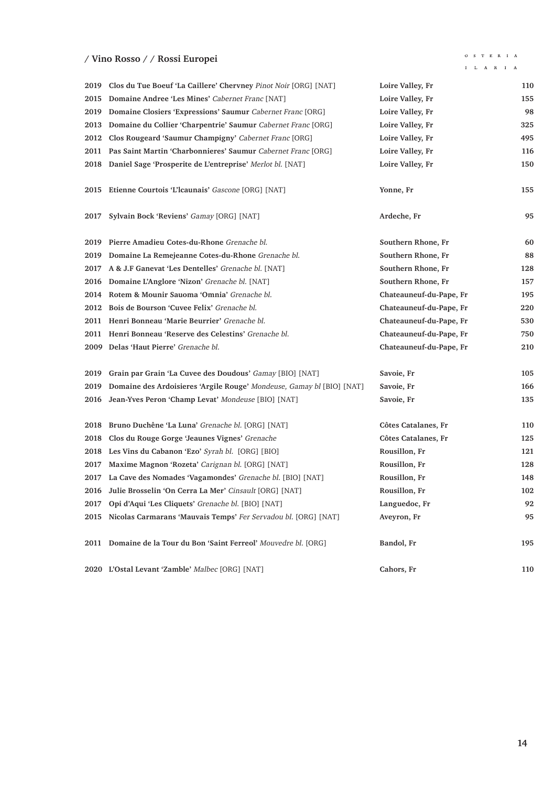### **/ Vino Rosso / / Rossi Europei**

 $\begin{array}{ccccccccc}\bullet\;&\; S & T & E & R & I & A\end{array}$  $\mathbf{I} = \mathbf{L} - \mathbf{A} - \mathbf{R} - \mathbf{I} - \mathbf{A}$ 

|      | 2019 Clos du Tue Boeuf 'La Caillere' Chervney Pinot Noir [ORG] [NAT]  | Loire Valley, Fr        | 110 |
|------|-----------------------------------------------------------------------|-------------------------|-----|
| 2015 | Domaine Andree 'Les Mines' Cabernet Franc [NAT]                       | Loire Valley, Fr        | 155 |
| 2019 | Domaine Closiers 'Expressions' Saumur Cabernet Franc [ORG]            | Loire Valley, Fr        | 98  |
| 2013 | Domaine du Collier 'Charpentrie' Saumur Cabernet Franc [ORG]          | Loire Valley, Fr        | 325 |
| 2012 | Clos Rougeard 'Saumur Champigny' Cabernet Franc [ORG]                 | Loire Valley, Fr        | 495 |
| 2011 | Pas Saint Martin 'Charbonnieres' Saumur Cabernet Franc [ORG]          | Loire Valley, Fr        | 116 |
| 2018 | Daniel Sage 'Prosperite de L'entreprise' Merlot bl. [NAT]             | Loire Valley, Fr        | 150 |
| 2015 | Etienne Courtois 'L'Icaunais' Gascone [ORG] [NAT]                     | Yonne, Fr               | 155 |
| 2017 | Sylvain Bock 'Reviens' Gamay [ORG] [NAT]                              | Ardeche, Fr             | 95  |
| 2019 | Pierre Amadieu Cotes-du-Rhone Grenache bl.                            | Southern Rhone, Fr      | 60  |
| 2019 | Domaine La Remejeanne Cotes-du-Rhone Grenache bl.                     | Southern Rhone, Fr      | 88  |
| 2017 | A & J.F Ganevat 'Les Dentelles' Grenache bl. [NAT]                    | Southern Rhone, Fr      | 128 |
| 2016 | Domaine L'Anglore 'Nizon' Grenache bl. [NAT]                          | Southern Rhone, Fr      | 157 |
| 2014 | Rotem & Mounir Sauoma 'Omnia' Grenache bl.                            | Chateauneuf-du-Pape, Fr | 195 |
| 2012 | Bois de Bourson 'Cuvee Felix' Grenache bl.                            | Chateauneuf-du-Pape, Fr | 220 |
| 2011 | Henri Bonneau 'Marie Beurrier' Grenache bl.                           | Chateauneuf-du-Pape, Fr | 530 |
| 2011 | Henri Bonneau 'Reserve des Celestins' Grenache bl.                    | Chateauneuf-du-Pape, Fr | 750 |
| 2009 | Delas 'Haut Pierre' Grenache bl.                                      | Chateauneuf-du-Pape, Fr | 210 |
| 2019 | Grain par Grain 'La Cuvee des Doudous' Gamay [BIO] [NAT]              | Savoie, Fr              | 105 |
| 2019 | Domaine des Ardoisieres 'Argile Rouge' Mondeuse, Gamay bl [BIO] [NAT] | Savoie, Fr              | 166 |
| 2016 | Jean-Yves Peron 'Champ Levat' Mondeuse [BIO] [NAT]                    | Savoie, Fr              | 135 |
| 2018 | Bruno Duchêne 'La Luna' Grenache bl. [ORG] [NAT]                      | Côtes Catalanes, Fr     | 110 |
| 2018 | Clos du Rouge Gorge 'Jeaunes Vignes' Grenache                         | Côtes Catalanes, Fr     | 125 |
| 2018 | Les Vins du Cabanon 'Ezo' Syrah bl. [ORG] [BIO]                       | Rousillon, Fr           | 121 |
| 2017 | Maxime Magnon 'Rozeta' Carignan bl. [ORG] [NAT]                       | Rousillon, Fr           | 128 |
| 2017 | La Cave des Nomades 'Vagamondes' Grenache bl. [BIO] [NAT]             | Rousillon, Fr           | 148 |
| 2016 | Julie Brosselin 'On Cerra La Mer' Cinsault [ORG] [NAT]                | Rousillon, Fr           | 102 |
| 2017 | Opi d'Aqui 'Les Cliquets' Grenache bl. [BIO] [NAT]                    | Languedoc, Fr           | 92  |
| 2015 | Nicolas Carmarans 'Mauvais Temps' Fer Servadou bl. [ORG] [NAT]        | Aveyron, Fr             | 95  |
|      | 2011 Domaine de la Tour du Bon 'Saint Ferreol' Mouvedre bl. [ORG]     | Bandol, Fr              | 195 |
|      | 2020 L'Ostal Levant 'Zamble' Malbec [ORG] [NAT]                       | Cahors, Fr              | 110 |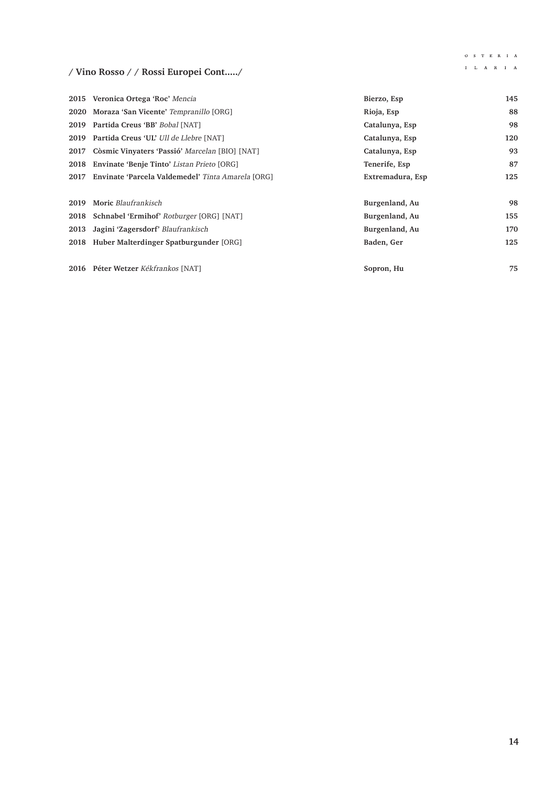$\begin{array}{ccccccccc}\n\text{O} & \text{S} & \text{T} & \text{E} & \text{R} & \text{I} & \text{A}\n\end{array}$  $\mathbf{I} = \mathbf{L} - \mathbf{A} - \mathbf{R} - \mathbf{I} - \mathbf{A}$ 

# **/ Vino Rosso / / Rossi Europei Cont...../**

|      | 2015 Veronica Ortega 'Roc' Mencia                      | Bierzo, Esp      | 145 |
|------|--------------------------------------------------------|------------------|-----|
|      | 2020 Moraza 'San Vicente' Tempranillo [ORG]            | Rioja, Esp       | 88  |
|      | 2019 Partida Creus 'BB' Bobal [NAT]                    | Catalunya, Esp   | 98  |
|      | 2019 Partida Creus 'UL' Ull de Llebre [NAT]            | Catalunya, Esp   | 120 |
| 2017 | Còsmic Vinyaters 'Passió' Marcelan [BIO] [NAT]         | Catalunya, Esp   | 93  |
|      | 2018 Envinate 'Benje Tinto' Listan Prieto [ORG]        | Tenerife, Esp    | 87  |
|      | 2017 Envinate 'Parcela Valdemedel' Tinta Amarela [ORG] | Extremadura, Esp | 125 |
| 2019 | Moric Blaufrankisch                                    | Burgenland, Au   | 98  |
|      | 2018 Schnabel 'Ermihof' Rotburger [ORG] [NAT]          | Burgenland, Au   | 155 |
| 2013 | Jagini 'Zagersdorf' Blaufrankisch                      | Burgenland, Au   | 170 |
|      | 2018 Huber Malterdinger Spatburgunder [ORG]            | Baden, Ger       | 125 |
|      | 2016 Péter Wetzer Kékfrankos [NAT]                     | Sopron, Hu       | 75  |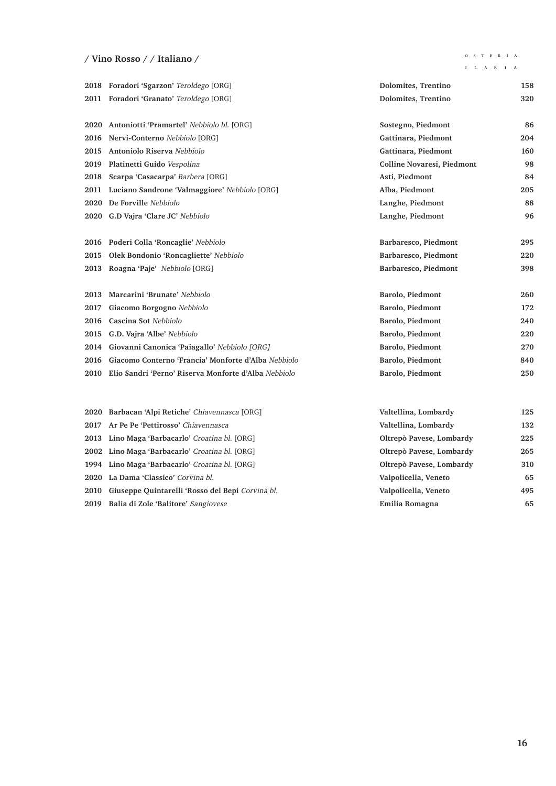# **/ Vino Rosso / / Italiano /**

 $\begin{array}{ccccccccc}\n\text{O} & \text{S} & \text{T} & \text{E} & \text{R} & \text{I} & \text{A}\n\end{array}$ 

|      | 2018 Foradori 'Sgarzon' Teroldego [ORG]               | Dolomites, Trentino        | 158 |
|------|-------------------------------------------------------|----------------------------|-----|
|      | 2011 Foradori 'Granato' Teroldego [ORG]               | Dolomites, Trentino        | 320 |
|      |                                                       |                            |     |
|      | 2020 Antoniotti 'Pramartel' Nebbiolo bl. [ORG]        | Sostegno, Piedmont         | 86  |
| 2016 | Nervi-Conterno Nebbiolo [ORG]                         | Gattinara, Piedmont        | 204 |
| 2015 | Antoniolo Riserva Nebbiolo                            | Gattinara, Piedmont        | 160 |
| 2019 | Platinetti Guido Vespolina                            | Colline Novaresi, Piedmont | 98  |
| 2018 | Scarpa 'Casacarpa' Barbera [ORG]                      | Asti, Piedmont             | 84  |
| 2011 | Luciano Sandrone 'Valmaggiore' Nebbiolo [ORG]         | Alba, Piedmont             | 205 |
| 2020 | De Forville Nebbiolo                                  | Langhe, Piedmont           | 88  |
| 2020 | G.D Vajra 'Clare JC' Nebbiolo                         | Langhe, Piedmont           | 96  |
|      |                                                       |                            |     |
|      | 2016 Poderi Colla 'Roncaglie' Nebbiolo                | Barbaresco, Piedmont       | 295 |
| 2015 | Olek Bondonio 'Roncagliette' Nebbiolo                 | Barbaresco, Piedmont       | 220 |
|      | 2013 Roagna 'Paje' Nebbiolo [ORG]                     | Barbaresco, Piedmont       | 398 |
|      |                                                       |                            |     |
| 2013 | Marcarini 'Brunate' Nebbiolo                          | Barolo, Piedmont           | 260 |
| 2017 | Giacomo Borgogno Nebbiolo                             | Barolo, Piedmont           | 172 |
| 2016 | Cascina Sot Nebbiolo                                  | Barolo, Piedmont           | 240 |
| 2015 | G.D. Vajra 'Albe' Nebbiolo                            | Barolo, Piedmont           | 220 |
| 2014 | Giovanni Canonica 'Paiagallo' Nebbiolo [ORG]          | Barolo, Piedmont           | 270 |
| 2016 | Giacomo Conterno 'Francia' Monforte d'Alba Nebbiolo   | Barolo, Piedmont           | 840 |
| 2010 | Elio Sandri 'Perno' Riserva Monforte d'Alba Nebbiolo  | Barolo, Piedmont           | 250 |
|      |                                                       |                            |     |
|      |                                                       |                            |     |
| 2020 | Barbacan 'Alpi Retiche' Chiavennasca [ORG]            | Valtellina, Lombardy       | 125 |
| 2017 | Ar Pe Pe 'Pettirosso' Chiavennasca                    | Valtellina, Lombardy       | 132 |
| 2013 | Lino Maga 'Barbacarlo' Croatina bl. [ORG]             | Oltrepò Pavese, Lombardy   | 225 |
| 2002 | Lino Maga 'Barbacarlo' Croatina bl. [ORG]             | Oltrepò Pavese, Lombardy   | 265 |
| 1994 | Lino Maga 'Barbacarlo' Croatina bl. [ORG]             | Oltrepò Pavese, Lombardy   | 310 |
| 2020 | La Dama 'Classico' Corvina bl.                        | Valpolicella, Veneto       | 65  |
|      | 2010 Giuseppe Quintarelli 'Rosso del Bepi Corvina bl. | Valpolicella, Veneto       | 495 |

**Balia di Zole 'Balitore'** Sangiovese **Emilia Romagna 65**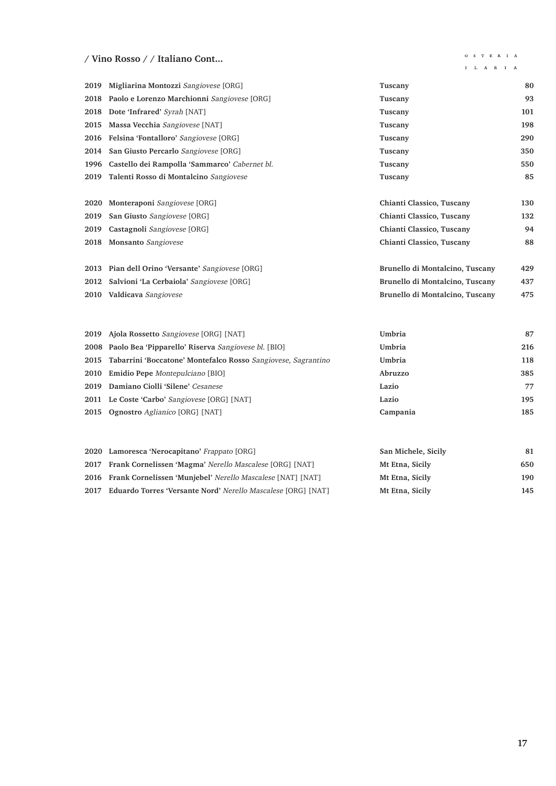### **/ Vino Rosso / / Italiano Cont...**

#### $\begin{array}{ccccccccc}\n\text{O} & \text{S} & \text{T} & \text{E} & \text{R} & \text{I} & \text{A}\n\end{array}$

| Migliarina Montozzi Sangiovese [ORG]                         | Tuscany                                                                                                                                                                                                                                                                         | 80                                             |
|--------------------------------------------------------------|---------------------------------------------------------------------------------------------------------------------------------------------------------------------------------------------------------------------------------------------------------------------------------|------------------------------------------------|
| Paolo e Lorenzo Marchionni Sangiovese [ORG]                  | Tuscany                                                                                                                                                                                                                                                                         | 93                                             |
| Dote 'Infrared' Syrah [NAT]                                  | Tuscany                                                                                                                                                                                                                                                                         | 101                                            |
| Massa Vecchia Sangiovese [NAT]                               | Tuscany                                                                                                                                                                                                                                                                         | 198                                            |
| Felsina 'Fontalloro' Sangiovese [ORG]                        | Tuscany                                                                                                                                                                                                                                                                         | 290                                            |
| San Giusto Percarlo Sangiovese [ORG]                         | Tuscany                                                                                                                                                                                                                                                                         | 350                                            |
| Castello dei Rampolla 'Sammarco' Cabernet bl.                | Tuscany                                                                                                                                                                                                                                                                         | 550                                            |
| Talenti Rosso di Montalcino Sangiovese                       | Tuscany                                                                                                                                                                                                                                                                         | 85                                             |
| Monteraponi Sangiovese [ORG]                                 | Chianti Classico, Tuscany                                                                                                                                                                                                                                                       | 130                                            |
| San Giusto Sangiovese [ORG]                                  | Chianti Classico, Tuscany                                                                                                                                                                                                                                                       | 132                                            |
| Castagnoli Sangiovese [ORG]                                  | Chianti Classico, Tuscany                                                                                                                                                                                                                                                       | 94                                             |
| Monsanto Sangiovese                                          | Chianti Classico, Tuscany                                                                                                                                                                                                                                                       | 88                                             |
| Pian dell Orino 'Versante' Sangiovese [ORG]                  | Brunello di Montalcino, Tuscany                                                                                                                                                                                                                                                 | 429                                            |
| Salvioni 'La Cerbaiola' Sangiovese [ORG]                     | Brunello di Montalcino, Tuscany                                                                                                                                                                                                                                                 | 437                                            |
| 2010 Valdicava Sangiovese                                    | Brunello di Montalcino, Tuscany                                                                                                                                                                                                                                                 | 475                                            |
|                                                              |                                                                                                                                                                                                                                                                                 |                                                |
|                                                              |                                                                                                                                                                                                                                                                                 | 87                                             |
|                                                              |                                                                                                                                                                                                                                                                                 | 216                                            |
|                                                              |                                                                                                                                                                                                                                                                                 | 118                                            |
|                                                              |                                                                                                                                                                                                                                                                                 | 385                                            |
|                                                              |                                                                                                                                                                                                                                                                                 | 77                                             |
|                                                              | Lazio                                                                                                                                                                                                                                                                           | 195                                            |
| Ognostro Aglianico [ORG] [NAT]                               | Campania                                                                                                                                                                                                                                                                        | 185                                            |
| 2020 Lamoresca 'Nerocapitano' Frappato [ORG]                 | San Michele, Sicily                                                                                                                                                                                                                                                             | 81                                             |
| 2017 Frank Cornelissen 'Magma' Nerello Mascalese [ORG] [NAT] | Mt Etna, Sicily                                                                                                                                                                                                                                                                 | 650                                            |
|                                                              | Ajola Rossetto Sangiovese [ORG] [NAT]<br>Paolo Bea 'Pipparello' Riserva Sangiovese bl. [BIO]<br>Tabarrini 'Boccatone' Montefalco Rosso Sangiovese, Sagrantino<br>Emidio Pepe Montepulciano [BIO]<br>Damiano Ciolli 'Silene' Cesanese<br>Le Coste 'Carbo' Sangiovese [ORG] [NAT] | Umbria<br>Umbria<br>Umbria<br>Abruzzo<br>Lazio |

- **Frank Cornelissen 'Munjebel'** Nerello Mascalese [NAT] [NAT] **Mt Etna, Sicily 190**
- **Eduardo Torres 'Versante Nord'** Nerello Mascalese [ORG] [NAT] **Mt Etna, Sicily 145**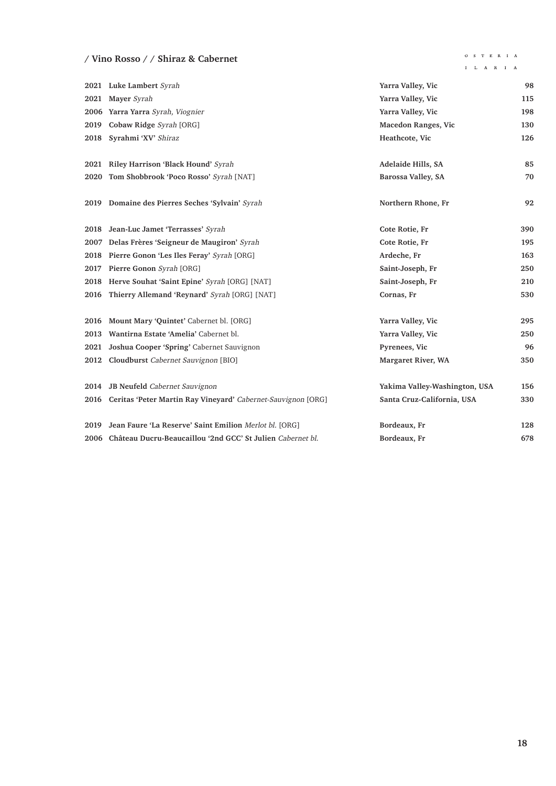### **/ Vino Rosso / / Shiraz & Cabernet**

## $\begin{array}{ccccccccc}\bullet\;&\; S & T & E & R & I & A\end{array}$

|      | 2021 Luke Lambert Syrah                                           | Yarra Valley, Vic             | 98  |
|------|-------------------------------------------------------------------|-------------------------------|-----|
| 2021 | Mayer Syrah                                                       | Yarra Valley, Vic             | 115 |
|      | 2006 Yarra Yarra Syrah, Viognier                                  | Yarra Valley, Vic             | 198 |
| 2019 | Cobaw Ridge Syrah [ORG]                                           | Macedon Ranges, Vic           | 130 |
| 2018 | Syrahmi 'XV' Shiraz                                               | Heathcote, Vic                | 126 |
|      |                                                                   |                               |     |
| 2021 | Riley Harrison 'Black Hound' Syrah                                | Adelaide Hills, SA            | 85  |
| 2020 | Tom Shobbrook 'Poco Rosso' Syrah [NAT]                            | Barossa Valley, SA            | 70  |
|      |                                                                   |                               |     |
| 2019 | Domaine des Pierres Seches 'Sylvain' Syrah                        | Northern Rhone, Fr            | 92  |
|      |                                                                   |                               |     |
| 2018 | Jean-Luc Jamet 'Terrasses' Syrah                                  | Cote Rotie, Fr                | 390 |
| 2007 | Delas Frères 'Seigneur de Maugiron' Syrah                         | Cote Rotie, Fr                | 195 |
| 2018 | Pierre Gonon 'Les Iles Feray' Syrah [ORG]                         | Ardeche, Fr                   | 163 |
| 2017 | Pierre Gonon Syrah [ORG]                                          | Saint-Joseph, Fr              | 250 |
| 2018 | Herve Souhat 'Saint Epine' Syrah [ORG] [NAT]                      | Saint-Joseph, Fr              | 210 |
| 2016 | Thierry Allemand 'Reynard' Syrah [ORG] [NAT]                      | Cornas, Fr                    | 530 |
|      |                                                                   |                               |     |
| 2016 | Mount Mary 'Quintet' Cabernet bl. [ORG]                           | Yarra Valley, Vic             | 295 |
| 2013 | Wantirna Estate 'Amelia' Cabernet bl.                             | Yarra Valley, Vic             | 250 |
| 2021 | Joshua Cooper 'Spring' Cabernet Sauvignon                         | Pyrenees, Vic                 | 96  |
| 2012 | Cloudburst Cabernet Sauvignon [BIO]                               | Margaret River, WA            | 350 |
|      |                                                                   |                               |     |
|      | 2014 JB Neufeld Cabernet Sauvignon                                | Yakima Valley-Washington, USA | 156 |
|      | 2016 Ceritas 'Peter Martin Ray Vineyard' Cabernet-Sauvignon [ORG] | Santa Cruz-California, USA    | 330 |
|      |                                                                   |                               |     |
| 2019 | Jean Faure 'La Reserve' Saint Emilion Merlot bl. [ORG]            | Bordeaux, Fr                  | 128 |
|      | 2006 Château Ducru-Beaucaillou '2nd GCC' St Julien Cabernet bl.   | Bordeaux, Fr                  | 678 |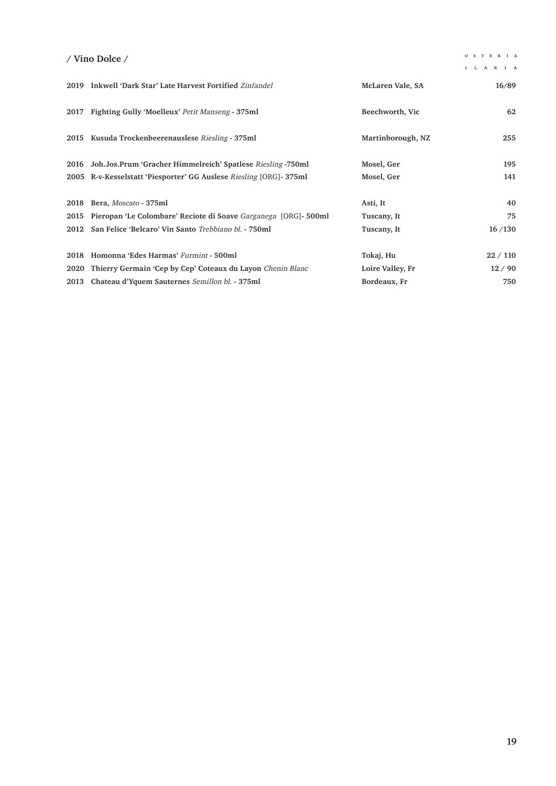### **/ Vino Dolce /**

|      | 2019 Inkwell 'Dark Star' Late Harvest Fortified Zinfandel           | McLaren Vale, SA  | 16/89  |
|------|---------------------------------------------------------------------|-------------------|--------|
| 2017 | Fighting Gully 'Moelleux' Petit Manseng - 375ml                     | Beechworth, Vic   | 62     |
| 2015 | Kusuda Trockenbeerenauslese Riesling - 375ml                        | Martinborough, NZ | 255    |
| 2016 | Joh.Jos.Prum 'Gracher Himmelreich' Spatlese Riesling -750ml         | Mosel, Ger        | 195    |
|      | 2005 R-v-Kesselstatt 'Piesporter' GG Auslese Riesling [ORG]- 375ml  | Mosel, Ger        | 141    |
|      | 2018 Bera, Moscato - 375ml                                          | Asti, It          | 40     |
|      | 2015 Pieropan 'Le Colombare' Reciote di Soave Garganega [ORG]-500ml | Tuscany, It       | 75     |
|      | 2012 San Felice 'Belcaro' Vin Santo Trebbiano bl. - 750ml           | Tuscany, It       | 16/130 |
| 2018 | Homonna 'Edes Harmas' Furmint - 500ml                               | Tokaj, Hu         | 22/110 |
| 2020 | Thierry Germain 'Cep by Cep' Coteaux du Layon Chenin Blanc          | Loire Valley, Fr  | 12/90  |
|      | 2013 Chateau d'Yquem Sauternes Semillon bl. - 375ml                 | Bordeaux, Fr      | 750    |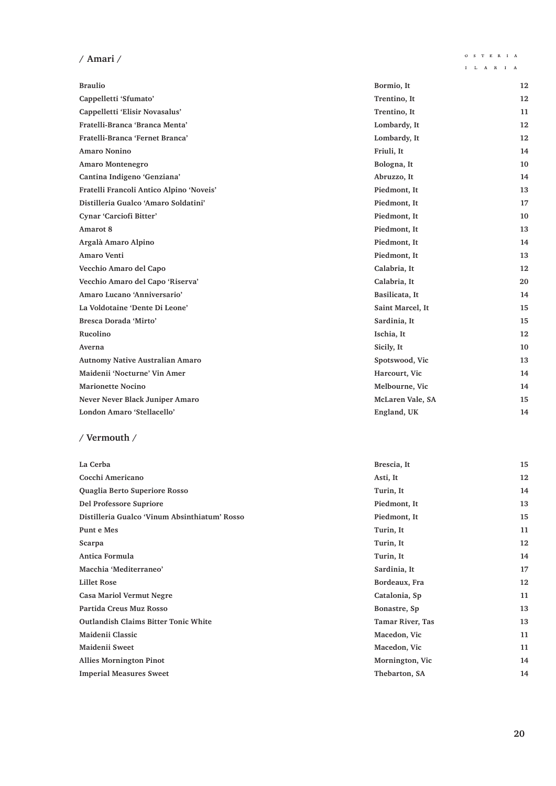# **/ Amari /**

 $\mathbf{I} = \mathbf{L} - \mathbf{A} - \mathbf{R} - \mathbf{I} - \mathbf{A}$ 

| <b>Braulio</b>                           | Bormio, It       | 12 |
|------------------------------------------|------------------|----|
| Cappelletti 'Sfumato'                    | Trentino, It     | 12 |
| Cappelletti 'Elisir Novasalus'           | Trentino, It     | 11 |
| Fratelli-Branca 'Branca Menta'           | Lombardy, It     | 12 |
| Fratelli-Branca 'Fernet Branca'          | Lombardy, It     | 12 |
| <b>Amaro Nonino</b>                      | Friuli, It       | 14 |
| <b>Amaro Montenegro</b>                  | Bologna, It      | 10 |
| Cantina Indigeno 'Genziana'              | Abruzzo, It      | 14 |
| Fratelli Francoli Antico Alpino 'Noveis' | Piedmont, It     | 13 |
| Distilleria Gualco 'Amaro Soldatini'     | Piedmont, It     | 17 |
| Cynar 'Carciofi Bitter'                  | Piedmont, It     | 10 |
| Amarot 8                                 | Piedmont, It     | 13 |
| Argalà Amaro Alpino                      | Piedmont, It     | 14 |
| Amaro Venti                              | Piedmont, It     | 13 |
| Vecchio Amaro del Capo                   | Calabria, It     | 12 |
| Vecchio Amaro del Capo 'Riserva'         | Calabria, It     | 20 |
| Amaro Lucano 'Anniversario'              | Basilicata, It   | 14 |
| La Voldotaine 'Dente Di Leone'           | Saint Marcel, It | 15 |
| Bresca Dorada 'Mirto'                    | Sardinia, It     | 15 |
| Rucolino                                 | Ischia, It       | 12 |
| Averna                                   | Sicily, It       | 10 |
| <b>Autnomy Native Australian Amaro</b>   | Spotswood, Vic   | 13 |
| Maidenii 'Nocturne' Vin Amer             | Harcourt, Vic    | 14 |
| <b>Marionette Nocino</b>                 | Melbourne, Vic   | 14 |
| Never Never Black Juniper Amaro          | McLaren Vale, SA | 15 |
| London Amaro 'Stellacello'               | England, UK      | 14 |

#### **/ Vermouth /**

| La Cerba                                      | Brescia, It             | 15 |
|-----------------------------------------------|-------------------------|----|
| Cocchi Americano                              | Asti, It                | 12 |
| Quaglia Berto Superiore Rosso                 | Turin, It               | 14 |
| Del Professore Supriore                       | Piedmont, It            | 13 |
| Distilleria Gualco 'Vinum Absinthiatum' Rosso | Piedmont, It            | 15 |
| Punt e Mes                                    | Turin, It               | 11 |
| Scarpa                                        | Turin, It               | 12 |
| Antica Formula                                | Turin, It               | 14 |
| Macchia 'Mediterraneo'                        | Sardinia, It            | 17 |
| <b>Lillet Rose</b>                            | Bordeaux, Fra           | 12 |
| <b>Casa Mariol Vermut Negre</b>               | Catalonia, Sp           | 11 |
| Partida Creus Muz Rosso                       | Bonastre, Sp            | 13 |
| <b>Outlandish Claims Bitter Tonic White</b>   | <b>Tamar River, Tas</b> | 13 |
| Maidenii Classic                              | Macedon, Vic            | 11 |
| Maidenii Sweet                                | Macedon, Vic            | 11 |
| <b>Allies Mornington Pinot</b>                | Mornington, Vic         | 14 |
| <b>Imperial Measures Sweet</b>                | Thebarton, SA           | 14 |
|                                               |                         |    |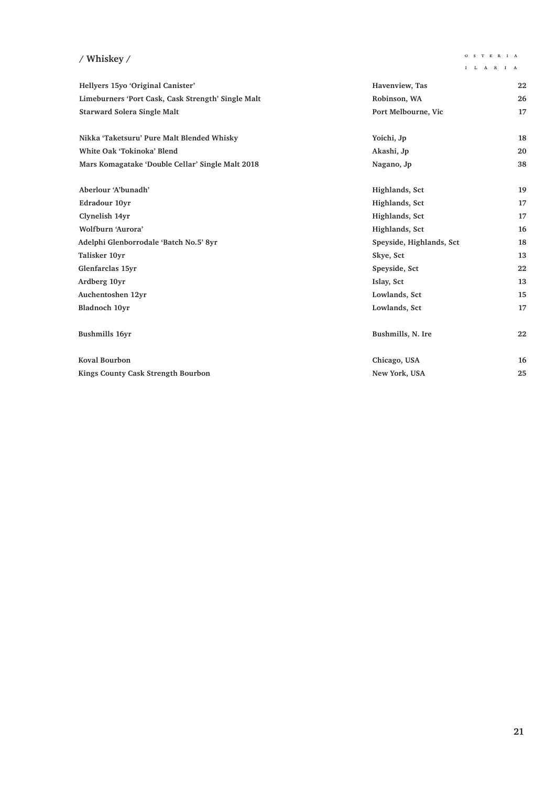# **/ Whiskey /**

 $\begin{array}{ccccccccc}\n\textbf{I} & \textbf{L} & \textbf{A} & \textbf{R} & \textbf{I} & \textbf{A}\n\end{array}$ 

| Hellyers 15yo 'Original Canister'                  | Havenview, Tas           | 22 |
|----------------------------------------------------|--------------------------|----|
| Limeburners 'Port Cask, Cask Strength' Single Malt | Robinson, WA             | 26 |
| <b>Starward Solera Single Malt</b>                 | Port Melbourne, Vic      | 17 |
| Nikka 'Taketsuru' Pure Malt Blended Whisky         | Yoichi, Jp               | 18 |
| White Oak 'Tokinoka' Blend                         | Akashi, Jp               | 20 |
| Mars Komagatake 'Double Cellar' Single Malt 2018   | Nagano, Jp               | 38 |
| Aberlour 'A'bunadh'                                | Highlands, Sct           | 19 |
| Edradour 10yr                                      | Highlands, Sct           | 17 |
| Clynelish 14yr                                     | Highlands, Sct           | 17 |
| Wolfburn 'Aurora'                                  | Highlands, Sct           | 16 |
| Adelphi Glenborrodale 'Batch No.5' 8yr             | Speyside, Highlands, Sct | 18 |
| Talisker 10yr                                      | Skye, Sct                | 13 |
| Glenfarclas 15yr                                   | Speyside, Sct            | 22 |
| Ardberg 10yr                                       | Islay, Sct               | 13 |
| Auchentoshen 12yr                                  | Lowlands, Sct            | 15 |
| <b>Bladnoch 10vr</b>                               | Lowlands, Sct            | 17 |
| <b>Bushmills 16yr</b>                              | Bushmills, N. Ire        | 22 |
| <b>Koval Bourbon</b>                               | Chicago, USA             | 16 |
| <b>Kings County Cask Strength Bourbon</b>          | New York, USA            | 25 |
|                                                    |                          |    |